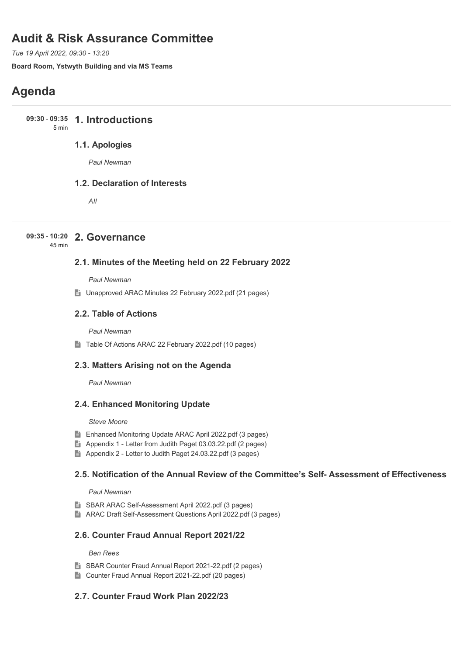# **Audit & Risk Assurance Committee**

*Tue 19 April 2022, 09:30 - 13:20*

**Board Room, Ystwyth Building and via MS Teams**

# **Agenda**

**1. Introductions 09:30** - **09:35** 5 min

# **1.1. Apologies**

*Paul Newman*

### **1.2. Declaration of Interests**

*All*

## **2. Governance 09:35** - **10:20**

45 min

### **2.1. Minutes of the Meeting held on 22 February 2022**

*Paul Newman*

■ Unapproved ARAC Minutes 22 February 2022.pdf (21 pages)

### **2.2. Table of Actions**

*Paul Newman*

■ Table Of Actions ARAC 22 February 2022.pdf (10 pages)

### **2.3. Matters Arising not on the Agenda**

*Paul Newman*

### **2.4. Enhanced Monitoring Update**

#### *Steve Moore*

- Enhanced Monitoring Update ARAC April 2022.pdf (3 pages)
- Appendix 1 Letter from Judith Paget 03.03.22.pdf (2 pages)
- Appendix 2 Letter to Judith Paget 24.03.22.pdf (3 pages)

### **2.5. Notification of the Annual Review of the Committee's Self- Assessment of Effectiveness**

#### *Paul Newman*

- SBAR ARAC Self-Assessment April 2022.pdf (3 pages)
- ARAC Draft Self-Assessment Questions April 2022.pdf (3 pages)

### **2.6. Counter Fraud Annual Report 2021/22**

#### *Ben Rees*

- SBAR Counter Fraud Annual Report 2021-22.pdf (2 pages)
- Counter Fraud Annual Report 2021-22.pdf (20 pages)

### **2.7. Counter Fraud Work Plan 2022/23**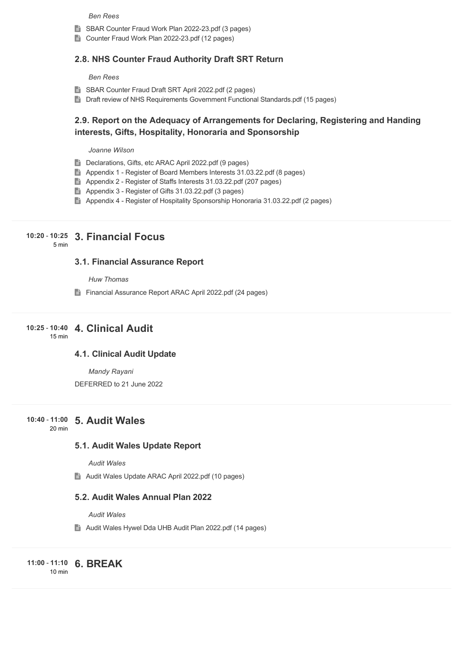#### *Ben Rees*

- SBAR Counter Fraud Work Plan 2022-23.pdf (3 pages)
- Counter Fraud Work Plan 2022-23.pdf (12 pages)

#### **2.8. NHS Counter Fraud Authority Draft SRT Return**

#### *Ben Rees*

- SBAR Counter Fraud Draft SRT April 2022.pdf (2 pages)
- Draft review of NHS Requirements Government Functional Standards.pdf (15 pages)

### **2.9. Report on the Adequacy of Arrangements for Declaring, Registering and Handing interests, Gifts, Hospitality, Honoraria and Sponsorship**

#### *Joanne Wilson*

- Declarations, Gifts, etc ARAC April 2022.pdf (9 pages)
- Appendix 1 Register of Board Members Interests 31.03.22.pdf (8 pages)
- Appendix 2 Register of Staffs Interests 31.03.22.pdf (207 pages)
- Appendix 3 Register of Gifts 31.03.22.pdf (3 pages)
- Appendix 4 Register of Hospitality Sponsorship Honoraria 31.03.22.pdf (2 pages)

### **3. Financial Focus 10:20** - **10:25**

5 min

### **3.1. Financial Assurance Report**

*Huw Thomas*

Financial Assurance Report ARAC April 2022.pdf (24 pages)

#### **4. Clinical Audit 10:25** - **10:40** 15 min

#### **4.1. Clinical Audit Update**

*Mandy Rayani*

DEFERRED to 21 June 2022

### **5. Audit Wales 10:40** - **11:00**

20 min

#### **5.1. Audit Wales Update Report**

*Audit Wales*

Audit Wales Update ARAC April 2022.pdf (10 pages)

#### **5.2. Audit Wales Annual Plan 2022**

*Audit Wales*

Audit Wales Hywel Dda UHB Audit Plan 2022.pdf (14 pages)

**6. BREAK 11:00** - **11:10** 10 min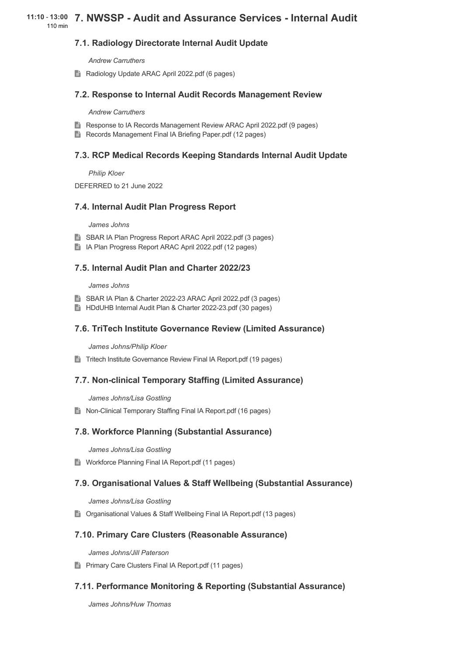### **7.1. Radiology Directorate Internal Audit Update**

*Andrew Carruthers*

Radiology Update ARAC April 2022.pdf (6 pages)

#### **7.2. Response to Internal Audit Records Management Review**

*Andrew Carruthers*

- Response to IA Records Management Review ARAC April 2022.pdf (9 pages)
- Records Management Final IA Briefing Paper.pdf (12 pages)

### **7.3. RCP Medical Records Keeping Standards Internal Audit Update**

*Philip Kloer*

DEFERRED to 21 June 2022

#### **7.4. Internal Audit Plan Progress Report**

#### *James Johns*

- SBAR IA Plan Progress Report ARAC April 2022.pdf (3 pages)
- IA Plan Progress Report ARAC April 2022.pdf (12 pages)

#### **7.5. Internal Audit Plan and Charter 2022/23**

*James Johns*

- SBAR IA Plan & Charter 2022-23 ARAC April 2022.pdf (3 pages)
- HDdUHB Internal Audit Plan & Charter 2022-23.pdf (30 pages)

#### **7.6. TriTech Institute Governance Review (Limited Assurance)**

*James Johns/Philip Kloer*

**■** Tritech Institute Governance Review Final IA Report.pdf (19 pages)

#### **7.7. Non-clinical Temporary Staffing (Limited Assurance)**

*James Johns/Lisa Gostling*

■ Non-Clinical Temporary Staffing Final IA Report.pdf (16 pages)

### **7.8. Workforce Planning (Substantial Assurance)**

*James Johns/Lisa Gostling*

**E** Workforce Planning Final IA Report.pdf (11 pages)

### **7.9. Organisational Values & Staff Wellbeing (Substantial Assurance)**

*James Johns/Lisa Gostling*

■ Organisational Values & Staff Wellbeing Final IA Report.pdf (13 pages)

### **7.10. Primary Care Clusters (Reasonable Assurance)**

*James Johns/Jill Paterson*

**Primary Care Clusters Final IA Report.pdf (11 pages)** 

### **7.11. Performance Monitoring & Reporting (Substantial Assurance)**

*James Johns/Huw Thomas*